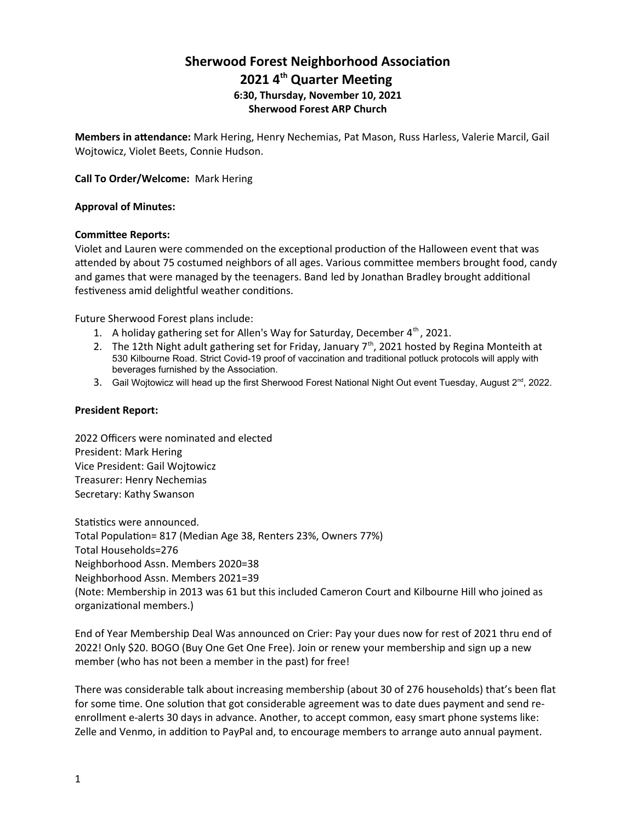# **Sherwood Forest Neighborhood Associaton 2021 4th Quarter Meetng 6:30, Thursday, November 10, 2021 Sherwood Forest ARP Church**

**Members in atendance:** Mark Hering, Henry Nechemias, Pat Mason, Russ Harless, Valerie Marcil, Gail Wojtowicz, Violet Beets, Connie Hudson.

**Call To Order/Welcome:** Mark Hering

### **Approval of Minutes:**

### **Commitee Reports:**

Violet and Lauren were commended on the exceptional production of the Halloween event that was atended by about 75 costumed neighbors of all ages. Various commitee members brought food, candy and games that were managed by the teenagers. Band led by Jonathan Bradley brought additonal festiveness amid delightful weather conditions.

Future Sherwood Forest plans include:

- 1. A holiday gathering set for Allen's Way for Saturday, December  $4<sup>th</sup>$ , 2021.
- 2. The 12th Night adult gathering set for Friday, January  $7<sup>th</sup>$ , 2021 hosted by Regina Monteith at 530 Kilbourne Road. Strict Covid-19 proof of vaccination and traditional potluck protocols will apply with beverages furnished by the Association.
- 3. Gail Wojtowicz will head up the first Sherwood Forest National Night Out event Tuesday, August 2<sup>nd</sup>, 2022.

### **President Report:**

2022 Officers were nominated and elected President: Mark Hering Vice President: Gail Wojtowicz Treasurer: Henry Nechemias Secretary: Kathy Swanson

Statistics were announced. Total Populaton= 817 (Median Age 38, Renters 23%, Owners 77%) Total Households=276 Neighborhood Assn. Members 2020=38 Neighborhood Assn. Members 2021=39 (Note: Membership in 2013 was 61 but this included Cameron Court and Kilbourne Hill who joined as organizational members.)

End of Year Membership Deal Was announced on Crier: Pay your dues now for rest of 2021 thru end of 2022! Only \$20. BOGO (Buy One Get One Free). Join or renew your membership and sign up a new member (who has not been a member in the past) for free!

There was considerable talk about increasing membership (about 30 of 276 households) that's been fat for some time. One solution that got considerable agreement was to date dues payment and send reenrollment e-alerts 30 days in advance. Another, to accept common, easy smart phone systems like: Zelle and Venmo, in addition to PayPal and, to encourage members to arrange auto annual payment.